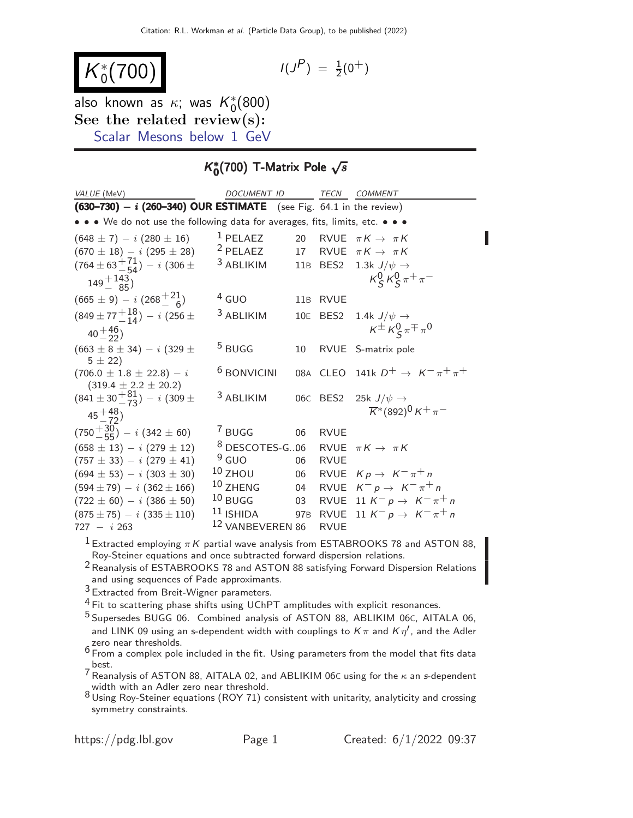$$
K_0^*(700) \qquad \qquad \text{if } \qquad
$$

$$
I(J^P) \; = \; {\textstyle \frac{1}{2}} (0^+)
$$

also known as  $\kappa$ ; was  $K_0^*$  $_{0}^{*}(800)$ See the related review(s): [Scalar Mesons below 1 GeV](http://pdg.lbl.gov/2022/reviews/rpp2021-rev-scalar-mesons.pdf)

## K ∗  $\mathcal{K}_0^*(700)$  T-Matrix Pole  $\sqrt{s}$  $\binom{*}{0}$ (700) T-Matrix Pole  $\sqrt{s}$

| VALUE (MeV)                                                                                                           | DOCUMENT ID               |                 | TECN        | COMMENT                                                                                          |
|-----------------------------------------------------------------------------------------------------------------------|---------------------------|-----------------|-------------|--------------------------------------------------------------------------------------------------|
| $(630-730) - i (260-340)$ OUR ESTIMATE (see Fig. 64.1 in the review)                                                  |                           |                 |             |                                                                                                  |
| $\bullet \bullet \bullet$ We do not use the following data for averages, fits, limits, etc. $\bullet \bullet \bullet$ |                           |                 |             |                                                                                                  |
| $(648 \pm 7) - i (280 \pm 16)$                                                                                        | <sup>1</sup> PELAEZ       | 20              | RVUE        | $\pi K \rightarrow \pi K$                                                                        |
| $(670 \pm 18) - i (295 \pm 28)$                                                                                       | <sup>2</sup> PELAEZ       | 17              |             | RVUE $\pi K \to \pi K$                                                                           |
| $(764 \pm 63 + 71 \over 54) - i (306 \pm 7)$                                                                          | <sup>3</sup> ABLIKIM      | 11B             | BES2        | 1.3k $J/\psi \rightarrow$                                                                        |
| $149 + {143 \over 85}$                                                                                                |                           |                 |             | $K_S^0 K_S^0 \pi^+ \pi^-$                                                                        |
| $(665 \pm 9) - i (268 \pm {21 \over 6})$                                                                              | $4$ GUO                   | 11B             | RVUE        |                                                                                                  |
| $(849 \pm 77 \frac{+18}{14}) - i (256 \pm$                                                                            | <sup>3</sup> ABLIKIM      | 10E             | BES2        | 1.4k $J/\psi \rightarrow$                                                                        |
| $40^{+46}_{-22})$                                                                                                     |                           |                 |             | $K^{\pm} K^0_S \pi^{\mp} \pi^0$                                                                  |
| $(663 \pm 8 \pm 34) - i (329 \pm$                                                                                     | <sup>5</sup> BUGG         | 10              |             | RVUE S-matrix pole                                                                               |
| $5 \pm 22$                                                                                                            |                           |                 |             |                                                                                                  |
| $(706.0 \pm 1.8 \pm 22.8) - i$                                                                                        | <sup>6</sup> BONVICINI    |                 |             | 08A CLEO 141k $D^+ \rightarrow K^- \pi^+ \pi^+$                                                  |
| $(319.4 \pm 2.2 \pm 20.2)$<br>$(841 \pm 30 \frac{+81}{73}) - i (309 \pm$                                              | 3 ABLIKIM                 |                 | 06C BES2    |                                                                                                  |
|                                                                                                                       |                           |                 |             | 25k $J/\psi \rightarrow$<br>$\overline{K}$ *(892) <sup>0</sup> K <sup>+</sup> $\pi$ <sup>-</sup> |
| $45 + 48$                                                                                                             |                           |                 |             |                                                                                                  |
| $(750^{+30}_{-55}) - i (342 \pm 60)$                                                                                  | 7 BUGG                    | 06              | <b>RVUE</b> |                                                                                                  |
| $(658 \pm 13) - i (279 \pm 12)$                                                                                       | <sup>8</sup> DESCOTES-G06 |                 | <b>RVUE</b> | $\pi K \rightarrow \pi K$                                                                        |
| $(757 \pm 33) - i (279 \pm 41)$                                                                                       | $9$ GUO                   | 06              | <b>RVUE</b> |                                                                                                  |
| $(694 \pm 53) - i (303 \pm 30)$                                                                                       | $10$ ZHOU                 | 06              |             | RVUE $Kp \rightarrow K^-\pi^+n$                                                                  |
| $(594 \pm 79) - i (362 \pm 166)$                                                                                      | 10 ZHENG                  | 04              |             | RVUE $K^- p \rightarrow K^- \pi^+ n$                                                             |
| $(722 \pm 60) - i (386 \pm 50)$                                                                                       | $10$ BUGG                 | 03              |             | RVUE 11 $K^- p \rightarrow K^- \pi^+ n$                                                          |
| $(875 \pm 75) - i (335 \pm 110)$                                                                                      | $11$ ISHIDA               | 97 <sub>B</sub> | RVUE        | 11 $K^- p \to K^- \pi^+ n$                                                                       |
| $727 - i 263$                                                                                                         | 12 VANBEVEREN 86          |                 | <b>RVUE</b> |                                                                                                  |

 $^1$  Extracted employing  $\pi$  K partial wave analysis from ESTABROOKS 78 and ASTON 88, Roy-Steiner equations and once subtracted forward dispersion relations.

 $^2$ Reanalysis of ESTABROOKS 78 and ASTON 88 satisfying Forward Dispersion Relations and using sequences of Pade approximants.

3 Extracted from Breit-Wigner parameters.

 $4$  Fit to scattering phase shifts using UChPT amplitudes with explicit resonances.

<sup>5</sup> Supersedes BUGG 06. Combined analysis of ASTON 88, ABLIKIM 06C, AITALA 06, and LINK 09 using an s-dependent width with couplings to  $K\pi$  and  $K\eta'$ , and the Adler zero near thresholds.

 $6$  From a complex pole included in the fit. Using parameters from the model that fits data best.

 $7$ Reanalysis of ASTON 88, AITALA 02, and ABLIKIM 06C using for the  $\kappa$  an s-dependent width with an Adler zero near threshold.

 $8$  Using Roy-Steiner equations (ROY 71) consistent with unitarity, analyticity and crossing symmetry constraints.

L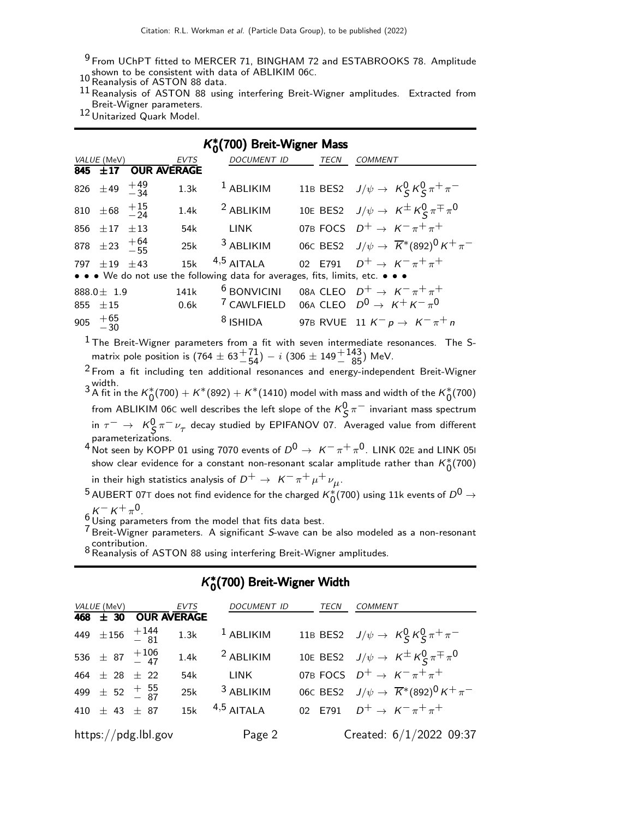<sup>9</sup> From UChPT fitted to MERCER 71, BINGHAM 72 and ESTABROOKS 78. Amplitude shown to be consistent with data of ABLIKIM 06C. 10Reanalysis of ASTON 88 data.

- 
- 11Reanalysis of ASTON 88 using interfering Breit-Wigner amplitudes. Extracted from Breit-Wigner parameters.

12 Unitarized Quark Model.

| $K_0^*(700)$ Breit-Wigner Mass |                             |  |                    |                                                                               |  |             |                                                                   |
|--------------------------------|-----------------------------|--|--------------------|-------------------------------------------------------------------------------|--|-------------|-------------------------------------------------------------------|
|                                | VALUE (MeV)                 |  | <b>EVTS</b>        | DOCUMENT ID                                                                   |  | <b>TECN</b> | <b>COMMENT</b>                                                    |
| 845                            | ±17                         |  | <b>OUR AVERAGE</b> |                                                                               |  |             |                                                                   |
|                                | 826 $\pm 49$ $^{+49}_{-34}$ |  | 1.3k               | $1$ ABLIKIM                                                                   |  |             | 11B BES2 $J/\psi \rightarrow K_S^0 K_S^0 \pi^+ \pi^-$             |
|                                | 810 $\pm 68$ $^{+15}_{-24}$ |  | 1.4k               | <sup>2</sup> ABLIKIM                                                          |  |             | 10E BES2 $J/\psi \rightarrow K^{\pm} K^0_S \pi^{\mp} \pi^0$       |
|                                | 856 $\pm 17$ $\pm 13$       |  | 54k                | LINK                                                                          |  |             | 07B FOCS $D^+ \rightarrow K^- \pi^+ \pi^+$                        |
|                                | 878 $\pm 23$ $^{+64}_{-55}$ |  | 25k                | <sup>3</sup> ABLIKIM                                                          |  |             | 06C BES2 $J/\psi \to \overline{K}^*(892)^0 K^+\pi^-$              |
|                                | $797 + 19 + 43$             |  | 15k                | $4,5$ altal A                                                                 |  |             | 02 E791 $D^+ \to K^- \pi^+ \pi^+$                                 |
|                                |                             |  |                    | • • • We do not use the following data for averages, fits, limits, etc. • • • |  |             |                                                                   |
|                                | 888.0 $\pm$ 1.9             |  | 141 <sub>k</sub>   |                                                                               |  |             | <sup>6</sup> BONVICINI 08A CLEO $D^+ \rightarrow K^- \pi^+ \pi^+$ |
|                                | 855 $\pm 15$                |  | 0.6k               |                                                                               |  |             | <sup>7</sup> CAWLFIELD 06A CLEO $D^0 \rightarrow K^+ K^- \pi^0$   |
|                                | 905 $+65$<br>-30            |  |                    | $8$ ISHIDA                                                                    |  |             | 97B RVUE 11 $K^- p \rightarrow K^- \pi^+ n$                       |

 $^{\rm 1}$ The Breit-Wigner parameters from a fit with seven intermediate resonances. The Smatrix pole position is  $(764 \pm 63^{+71}_{-54}) - i$   $(306 \pm 149^{+143}_{-85})$  MeV.

2 From a fit including ten additional resonances and energy-independent Breit-Wigner

 $^3$ A fit in the  $\mathcal{K}^*_0(700) + \mathcal{K}^*(892) + \mathcal{K}^*(1410)$  model with mass and width of the  $\mathcal{K}^*_0(700)$ from ABLIKIM 06C well describes the left slope of the  $\kappa^0_{\mathcal{S}}\pi^-$  invariant mass spectrum in  $\tau^-\rightarrow~$   $\mathcal{K}^0_{\mathcal{S}}\pi^-\nu_\tau$  decay studied by EPIFANOV 07. Averaged value from different parameterizations.

 $^4$  Not seen by KOPP 01 using 7070 events of  $D^0\to~$  K $^-\pi^+\pi^0$ . LINK 02E and LINK 051 show clear evidence for a constant non-resonant scalar amplitude rather than  $\kappa^*_0$ (700) in their high statistics analysis of  $D^+ \rightarrow \ K^- \pi^+ \mu^+ \nu_{\mu}$ .

- $^{5}$  AUBERT 07T does not find evidence for the charged  $\kappa_{0}^{*}$ (700) using 11k events of  $D^{0}\rightarrow$  $K^- K^+ \pi^0$ .
- $\frac{6}{2}$  Using parameters from the model that fits data best.
- 7 Breit-Wigner parameters. A significant S-wave can be also modeled as a non-resonant  $8$  contribution.<br> $8$  Reanalysis of ASTON 88 using interfering Breit-Wigner amplitudes.
- 

| <i>VALUE</i> (MeV)                         |                     | EVTS                     | <b>DOCUMENT ID</b>   | TECN | COMMENT                                                     |
|--------------------------------------------|---------------------|--------------------------|----------------------|------|-------------------------------------------------------------|
|                                            |                     | 468 $\pm$ 30 OUR AVERAGE |                      |      |                                                             |
| 449 $\pm 156$ $\frac{+144}{-81}$           |                     | 1.3k                     | $1$ ABLIKIM          |      | 11B BES2 $J/\psi \to K^0_S K^0_S \pi^+ \pi^-$               |
| 536 $\pm$ 87 $+106$<br>$-47$               |                     | 1.4k                     | <sup>2</sup> ABLIKIM |      | 10E BES2 $J/\psi \rightarrow K^{\pm} K^0_S \pi^{\mp} \pi^0$ |
| 464 $\pm$ 28 $\pm$ 22                      |                     | 54k                      | <b>LINK</b>          |      | 07B FOCS $D^+ \rightarrow K^- \pi^+ \pi^+$                  |
| 499 $\pm$ 52 $\frac{+}{-}$ $\frac{55}{87}$ |                     | 25k                      | 3 ABLIKIM            |      | 06C BES2 $J/\psi \to \overline{K}^*(892)^0 K^+\pi^-$        |
| 410 $\pm$ 43 $\pm$ 87                      |                     |                          | $15k$ $4,5$ AITALA   |      | 02 E791 $D^+ \to K^- \pi^+ \pi^+$                           |
|                                            | https://pdg.lbl.gov |                          | Page 2               |      | Created: 6/1/2022 09:37                                     |

## K ∗  $_{0}^{\ast}(700)$  Breit-Wigner Width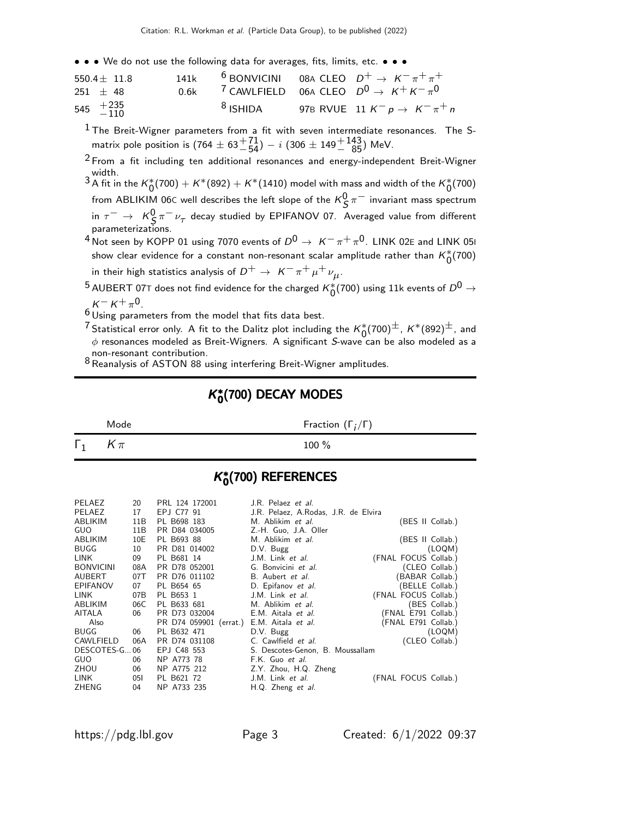• • • We do not use the following data for averages, fits, limits, etc. • • •

| $550.4 + 11.8$<br>$251 \pm 48$ | 141k<br>0 6k |            | <sup>6</sup> BONVICINI 08A CLEO $D^+ \rightarrow K^- \pi^+ \pi^+$<br><sup>7</sup> CAWLFIELD 06A CLEO $D^0 \rightarrow K^+ K^- \pi^0$ |
|--------------------------------|--------------|------------|--------------------------------------------------------------------------------------------------------------------------------------|
| $545$ $^{+235}_{-110}$         |              | $8$ ISHIDA | 97B RVUE 11 $K^- p \rightarrow K^- \pi^+ n$                                                                                          |

 $^{\rm 1}$ The Breit-Wigner parameters from a fit with seven intermediate resonances. The Smatrix pole position is  $(764 \pm 63^{+71}_{-54}) - i$   $(306 \pm 149^{+143}_{-85})$  MeV.

 $2$  From a fit including ten additional resonances and energy-independent Breit-Wigner

- width.<br><sup>3</sup> A fit in the  $\kappa_0^*(700) + \kappa^*(892) + \kappa^*(1410)$  model with mass and width of the  $\kappa_0^*(700)$ from ABLIKIM 06C well describes the left slope of the  $K^0_S \pi^-$  invariant mass spectrum
- in  $\tau^-\rightarrow\ \ \kappa^0_\mathcal{S}\pi^-\nu_\tau$  decay studied by EPIFANOV 07. Averaged value from different parameterizations.
- $^4$ Not seen by KOPP 01 using 7070 events of  $D^0\rightarrow\ \textit{K}^-\pi^+\pi^0$ . LINK 02E and LINK 051 show clear evidence for a constant non-resonant scalar amplitude rather than  $\kappa^*_0$ (700) in their high statistics analysis of  $D^+ \rightarrow \ K^- \pi^+ \mu^+ \nu_{\mu}$ .
- $^{5}$  AUBERT 07T does not find evidence for the charged  $\kappa_{0}^{*}$ (700) using 11k events of  $D^{0}\rightarrow$  $K^- K^+ \pi^0$ .
- $60$  Using parameters from the model that fits data best.
- <sup>7</sup> Statistical error only. A fit to the Dalitz plot including the  $K_0^*(700)^\pm$ ,  $K^*(892)^\pm$ , and  $\phi$  resonances modeled as Breit-Wigners. A significant S-wave can be also modeled as a non-resonant contribution.

8 Reanalysis of ASTON 88 using interfering Breit-Wigner amplitudes.

|            | Mode   | Fraction $(\Gamma_i/\Gamma)$ |
|------------|--------|------------------------------|
| $\Gamma_1$ | $K\pi$ | $100 \%$                     |

## K ∗  $_{0}^{\ast}$ (700) DECAY MODES

## K ∗  $_{0}^{\ast}(700)$  REFERENCES

| 20              | PRL 124 172001            | J.R. Pelaez <i>et al.</i>            |                      |
|-----------------|---------------------------|--------------------------------------|----------------------|
| 17              | EPJ C77 91                | J.R. Pelaez, A.Rodas, J.R. de Elvira |                      |
| 11B             | PL B698 183               | M. Ablikim et al.                    | (BES II Collab.)     |
| 11 <sub>B</sub> | PR D84 034005             | Z.-H. Guo, J.A. Oller                |                      |
| 10E             | PL B693 88                | M. Ablikim et al.                    | (BES II Collab.)     |
| 10              | PR D81 014002             | $D.V.$ Bugg                          | (LOQM)               |
| 09              | PL B681 14                | J.M. Link et al.                     | (FNAL FOCUS Collab.) |
| 08A             | PR D78 052001             | G. Bonvicini et al.                  | (CLEO Collab.)       |
| 07T             | PR D76 011102             | B. Aubert <i>et al.</i>              | (BABAR Collab.)      |
| 07              | PL B654 65                | D. Epifanov et al.                   | BELLE Collab.)       |
| 07B             | PL B653 1                 | J.M. Link et al.                     | (FNAL FOCUS Collab.) |
| 06C             | PL B633 681               | M. Ablikim et al.                    | (BES Collab.)        |
| 06              | PR D73 032004             | E.M. Aitala et al.                   | (FNAL E791 Collab.)  |
|                 | PR D74 059901<br>(errat.) | E.M. Aitala et al.                   | (FNAL E791 Collab.)  |
| 06              | PL B632 471               | D.V. Bugg                            | (LOQM)               |
| 06A             | PR D74 031108             | C. Cawlfield et al.                  | (CLEO Collab.)       |
| DESCOTES-G06    | EPJ C48 553               | S. Descotes-Genon, B. Moussallam     |                      |
| 06              | NP A773 78                | F.K. Guo et al.                      |                      |
| 06              | NP A775 212               | Z.Y. Zhou, H.Q. Zheng                |                      |
| 051             | PL B621 72                | J.M. Link et al.                     | (FNAL FOCUS Collab.) |
| 04              | NP A733 235               | H.Q. Zheng <i>et al.</i>             |                      |
|                 |                           |                                      |                      |